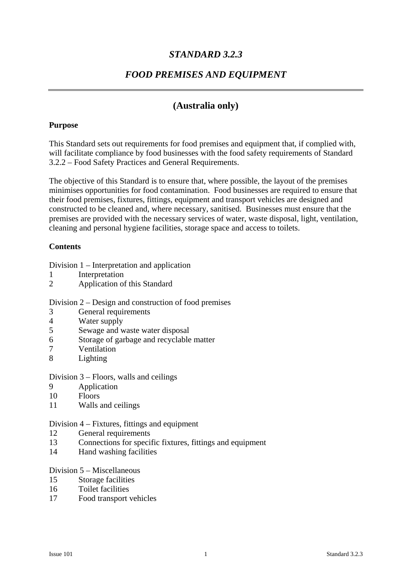## *STANDARD 3.2.3*

## *FOOD PREMISES AND EQUIPMENT*

## **(Australia only)**

#### **Purpose**

This Standard sets out requirements for food premises and equipment that, if complied with, will facilitate compliance by food businesses with the food safety requirements of Standard 3.2.2 – Food Safety Practices and General Requirements.

The objective of this Standard is to ensure that, where possible, the layout of the premises minimises opportunities for food contamination. Food businesses are required to ensure that their food premises, fixtures, fittings, equipment and transport vehicles are designed and constructed to be cleaned and, where necessary, sanitised. Businesses must ensure that the premises are provided with the necessary services of water, waste disposal, light, ventilation, cleaning and personal hygiene facilities, storage space and access to toilets.

#### **Contents**

Division 1 – Interpretation and application

- 1 Interpretation
- 2 Application of this Standard

Division 2 – Design and construction of food premises

- 3 General requirements
- 4 Water supply
- 5 Sewage and waste water disposal
- 6 Storage of garbage and recyclable matter
- 7 Ventilation
- 8 Lighting

Division 3 – Floors, walls and ceilings

- 9 Application
- 10 Floors
- 11 Walls and ceilings

#### Division 4 – Fixtures, fittings and equipment

- 12 General requirements
- 13 Connections for specific fixtures, fittings and equipment
- 14 Hand washing facilities

## Division 5 – Miscellaneous

- 15 Storage facilities
- 16 Toilet facilities
- 17 Food transport vehicles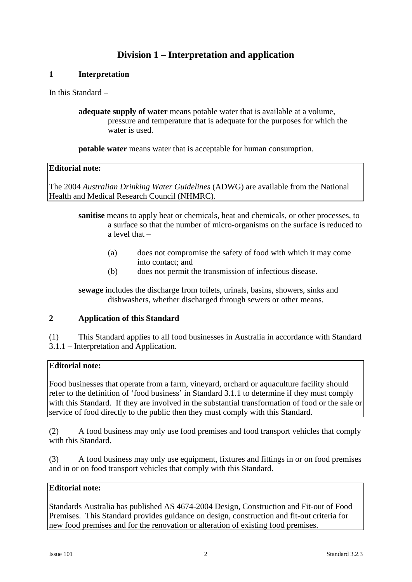# **Division 1 – Interpretation and application**

### **1 Interpretation**

In this Standard –

**adequate supply of water** means potable water that is available at a volume, pressure and temperature that is adequate for the purposes for which the water is used.

**potable water** means water that is acceptable for human consumption.

### **Editorial note:**

The 2004 *Australian Drinking Water Guidelines* (ADWG) are available from the National Health and Medical Research Council (NHMRC).

- **sanitise** means to apply heat or chemicals, heat and chemicals, or other processes, to a surface so that the number of micro-organisms on the surface is reduced to a level that –
	- (a) does not compromise the safety of food with which it may come into contact; and
	- (b) does not permit the transmission of infectious disease.

**sewage** includes the discharge from toilets, urinals, basins, showers, sinks and dishwashers, whether discharged through sewers or other means.

## **2 Application of this Standard**

(1) This Standard applies to all food businesses in Australia in accordance with Standard 3.1.1 – Interpretation and Application.

## **Editorial note:**

Food businesses that operate from a farm, vineyard, orchard or aquaculture facility should refer to the definition of 'food business' in Standard 3.1.1 to determine if they must comply with this Standard. If they are involved in the substantial transformation of food or the sale or service of food directly to the public then they must comply with this Standard.

(2) A food business may only use food premises and food transport vehicles that comply with this Standard.

(3) A food business may only use equipment, fixtures and fittings in or on food premises and in or on food transport vehicles that comply with this Standard.

## **Editorial note:**

Standards Australia has published AS 4674-2004 Design, Construction and Fit-out of Food Premises. This Standard provides guidance on design, construction and fit-out criteria for new food premises and for the renovation or alteration of existing food premises.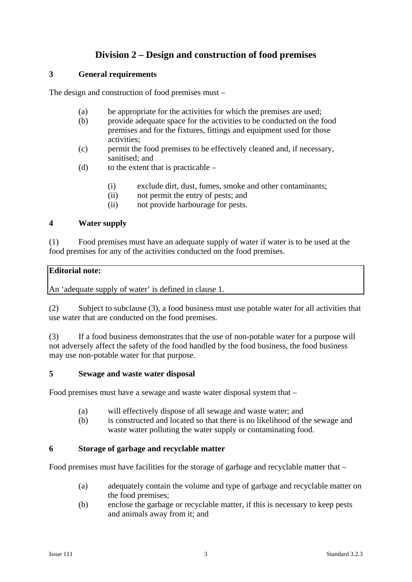# **Division 2 – Design and construction of food premises**

#### **3 General requirements**

The design and construction of food premises must –

- (a) be appropriate for the activities for which the premises are used;
- (b) provide adequate space for the activities to be conducted on the food premises and for the fixtures, fittings and equipment used for those activities;
- (c) permit the food premises to be effectively cleaned and, if necessary, sanitised; and
- (d) to the extent that is practicable  $-$ 
	- (i) exclude dirt, dust, fumes, smoke and other contaminants;
	- (ii) not permit the entry of pests; and
	- (ii) not provide harbourage for pests.

### **4 Water supply**

(1) Food premises must have an adequate supply of water if water is to be used at the food premises for any of the activities conducted on the food premises.

### **Editorial note:**

An 'adequate supply of water' is defined in clause 1.

(2) Subject to subclause (3), a food business must use potable water for all activities that use water that are conducted on the food premises.

(3) If a food business demonstrates that the use of non-potable water for a purpose will not adversely affect the safety of the food handled by the food business, the food business may use non-potable water for that purpose.

#### **5 Sewage and waste water disposal**

Food premises must have a sewage and waste water disposal system that –

- (a) will effectively dispose of all sewage and waste water; and
- (b) is constructed and located so that there is no likelihood of the sewage and waste water polluting the water supply or contaminating food.

## **6 Storage of garbage and recyclable matter**

Food premises must have facilities for the storage of garbage and recyclable matter that –

- (a) adequately contain the volume and type of garbage and recyclable matter on the food premises;
- (b) enclose the garbage or recyclable matter, if this is necessary to keep pests and animals away from it; and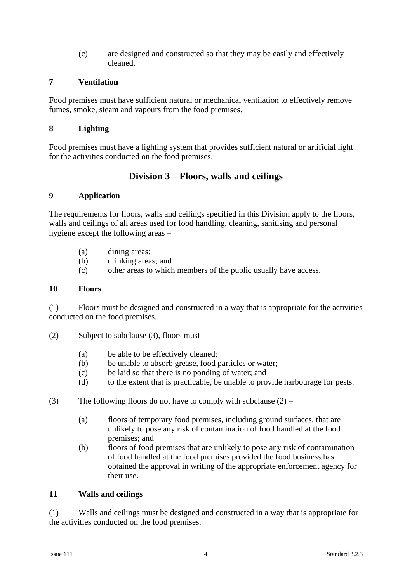(c) are designed and constructed so that they may be easily and effectively cleaned.

### **7 Ventilation**

Food premises must have sufficient natural or mechanical ventilation to effectively remove fumes, smoke, steam and vapours from the food premises.

#### **8 Lighting**

Food premises must have a lighting system that provides sufficient natural or artificial light for the activities conducted on the food premises.

## **Division 3 – Floors, walls and ceilings**

## **9 Application**

The requirements for floors, walls and ceilings specified in this Division apply to the floors, walls and ceilings of all areas used for food handling, cleaning, sanitising and personal hygiene except the following areas –

- (a) dining areas;
- (b) drinking areas; and
- (c) other areas to which members of the public usually have access.

### **10 Floors**

(1) Floors must be designed and constructed in a way that is appropriate for the activities conducted on the food premises.

(2) Subject to subclause (3), floors must –

- (a) be able to be effectively cleaned;
- (b) be unable to absorb grease, food particles or water;
- (c) be laid so that there is no ponding of water; and
- (d) to the extent that is practicable, be unable to provide harbourage for pests.
- (3) The following floors do not have to comply with subclause  $(2)$ 
	- (a) floors of temporary food premises, including ground surfaces, that are unlikely to pose any risk of contamination of food handled at the food premises; and
	- (b) floors of food premises that are unlikely to pose any risk of contamination of food handled at the food premises provided the food business has obtained the approval in writing of the appropriate enforcement agency for their use.

#### **11 Walls and ceilings**

(1) Walls and ceilings must be designed and constructed in a way that is appropriate for the activities conducted on the food premises.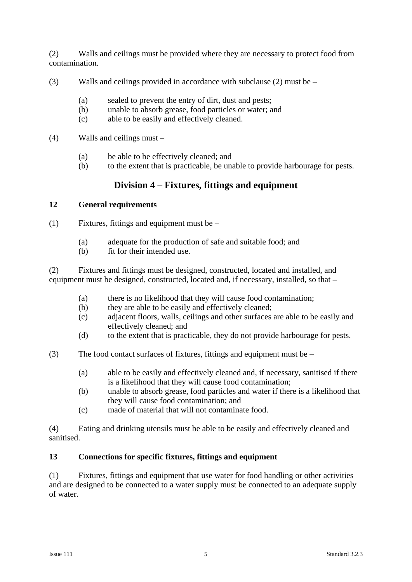(2) Walls and ceilings must be provided where they are necessary to protect food from contamination.

- (3) Walls and ceilings provided in accordance with subclause (2) must be
	- (a) sealed to prevent the entry of dirt, dust and pests;
	- (b) unable to absorb grease, food particles or water; and
	- (c) able to be easily and effectively cleaned.
- (4) Walls and ceilings must
	- (a) be able to be effectively cleaned; and
	- (b) to the extent that is practicable, be unable to provide harbourage for pests.

# **Division 4 – Fixtures, fittings and equipment**

### **12 General requirements**

 $(1)$  Fixtures, fittings and equipment must be –

- (a) adequate for the production of safe and suitable food; and
- (b) fit for their intended use.

(2) Fixtures and fittings must be designed, constructed, located and installed, and equipment must be designed, constructed, located and, if necessary, installed, so that –

- (a) there is no likelihood that they will cause food contamination;
- (b) they are able to be easily and effectively cleaned;
- (c) adjacent floors, walls, ceilings and other surfaces are able to be easily and effectively cleaned; and
- (d) to the extent that is practicable, they do not provide harbourage for pests.
- (3) The food contact surfaces of fixtures, fittings and equipment must be
	- (a) able to be easily and effectively cleaned and, if necessary, sanitised if there is a likelihood that they will cause food contamination;
	- (b) unable to absorb grease, food particles and water if there is a likelihood that they will cause food contamination; and
	- (c) made of material that will not contaminate food.

(4) Eating and drinking utensils must be able to be easily and effectively cleaned and sanitised.

## **13 Connections for specific fixtures, fittings and equipment**

(1) Fixtures, fittings and equipment that use water for food handling or other activities and are designed to be connected to a water supply must be connected to an adequate supply of water.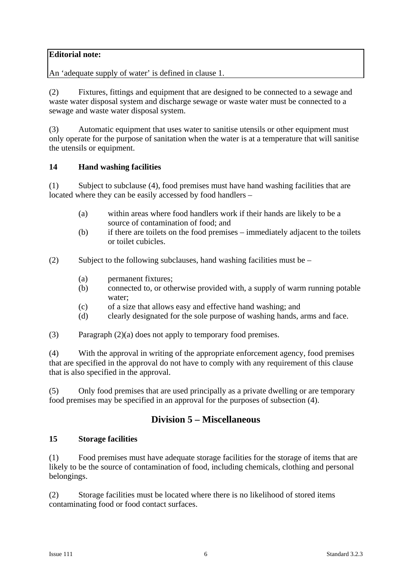## **Editorial note:**

An 'adequate supply of water' is defined in clause 1.

(2) Fixtures, fittings and equipment that are designed to be connected to a sewage and waste water disposal system and discharge sewage or waste water must be connected to a sewage and waste water disposal system.

(3) Automatic equipment that uses water to sanitise utensils or other equipment must only operate for the purpose of sanitation when the water is at a temperature that will sanitise the utensils or equipment.

### **14 Hand washing facilities**

(1) Subject to subclause (4), food premises must have hand washing facilities that are located where they can be easily accessed by food handlers –

- (a) within areas where food handlers work if their hands are likely to be a source of contamination of food; and
- (b) if there are toilets on the food premises immediately adjacent to the toilets or toilet cubicles.
- (2) Subject to the following subclauses, hand washing facilities must be
	- (a) permanent fixtures;
	- (b) connected to, or otherwise provided with, a supply of warm running potable water;
	- (c) of a size that allows easy and effective hand washing; and
	- (d) clearly designated for the sole purpose of washing hands, arms and face.
- (3) Paragraph (2)(a) does not apply to temporary food premises.

(4) With the approval in writing of the appropriate enforcement agency, food premises that are specified in the approval do not have to comply with any requirement of this clause that is also specified in the approval.

(5) Only food premises that are used principally as a private dwelling or are temporary food premises may be specified in an approval for the purposes of subsection (4).

# **Division 5 – Miscellaneous**

#### **15 Storage facilities**

(1) Food premises must have adequate storage facilities for the storage of items that are likely to be the source of contamination of food, including chemicals, clothing and personal belongings.

(2) Storage facilities must be located where there is no likelihood of stored items contaminating food or food contact surfaces.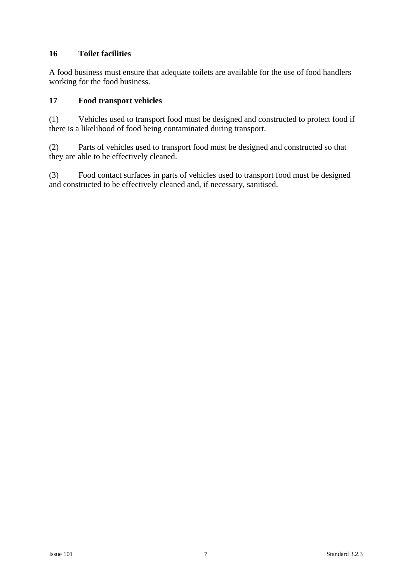## **16 Toilet facilities**

A food business must ensure that adequate toilets are available for the use of food handlers working for the food business.

## **17 Food transport vehicles**

(1) Vehicles used to transport food must be designed and constructed to protect food if there is a likelihood of food being contaminated during transport.

(2) Parts of vehicles used to transport food must be designed and constructed so that they are able to be effectively cleaned.

(3) Food contact surfaces in parts of vehicles used to transport food must be designed and constructed to be effectively cleaned and, if necessary, sanitised.